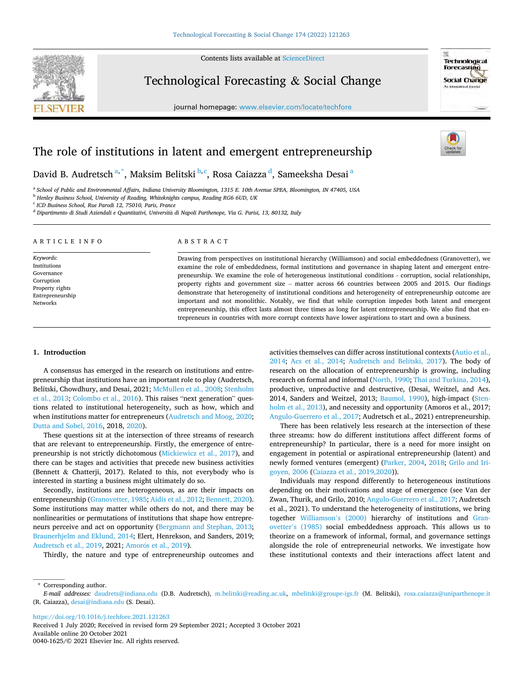Contents lists available at [ScienceDirect](www.sciencedirect.com/science/journal/00401625)



Technological Forecasting & Social Change

journal homepage: [www.elsevier.com/locate/techfore](https://www.elsevier.com/locate/techfore) 



# The role of institutions in latent and emergent entrepreneurship

David B. Audretsch <sup>a, \*</sup>, Maksim Belitski <sup>b, c</sup>, Rosa Caiazza <sup>d</sup>, Sameeksha Desai <sup>a</sup>

<sup>a</sup> *School of Public and Environmental Affairs, Indiana University Bloomington, 1315 E. 10th Avenue SPEA, Bloomington, IN 47405, USA* 

<sup>b</sup> *Henley Business School, University of Reading, Whiteknights campus, Reading RG6 6UD, UK* 

<sup>c</sup> *ICD Business School, Rue Parodi 12, 75010, Paris, France* 

<sup>d</sup> *Dipartimento di Studi Aziendali e Quantitativi, Universita di Napoli Parthenope, Via G. Parisi, 13, 80132, Italy* `

| ARTICLE INFO                                                                                             | ABSTRACT                                                                                                                                                                                                                                                                                                                                                                                                                                                                                                                                                                                                                                                                                                                                                                                                                                                                                                     |
|----------------------------------------------------------------------------------------------------------|--------------------------------------------------------------------------------------------------------------------------------------------------------------------------------------------------------------------------------------------------------------------------------------------------------------------------------------------------------------------------------------------------------------------------------------------------------------------------------------------------------------------------------------------------------------------------------------------------------------------------------------------------------------------------------------------------------------------------------------------------------------------------------------------------------------------------------------------------------------------------------------------------------------|
| Keywords:<br>Institutions<br>Governance<br>Corruption<br>Property rights<br>Entrepreneurship<br>Networks | Drawing from perspectives on institutional hierarchy (Williamson) and social embeddedness (Granovetter), we<br>examine the role of embeddedness, formal institutions and governance in shaping latent and emergent entre-<br>preneurship. We examine the role of heterogeneous institutional conditions - corruption, social relationships,<br>property rights and government size – matter across 66 countries between 2005 and 2015. Our findings<br>demonstrate that heterogeneity of institutional conditions and heterogeneity of entrepreneurship outcome are<br>important and not monolithic. Notably, we find that while corruption impedes both latent and emergent<br>entrepreneurship, this effect lasts almost three times as long for latent entrepreneurship. We also find that en-<br>trepreneurs in countries with more corrupt contexts have lower aspirations to start and own a business. |

## **1. Introduction**

A consensus has emerged in the research on institutions and entrepreneurship that institutions have an important role to play (Audretsch, Belitski, Chowdhury, and Desai, 2021; [McMullen et al., 2008](#page-11-0); [Stenholm](#page-11-0)  [et al., 2013](#page-11-0); [Colombo et al., 2016](#page-11-0)). This raises "next generation" questions related to institutional heterogeneity, such as how, which and when institutions matter for entrepreneurs ([Audretsch and Moog, 2020](#page-11-0); [Dutta and Sobel, 2016,](#page-11-0) 2018, [2020\)](#page-11-0).

These questions sit at the intersection of three streams of research that are relevant to entrepreneurship. Firstly, the emergence of entrepreneurship is not strictly dichotomous ([Mickiewicz et al., 2017\)](#page-11-0), and there can be stages and activities that precede new business activities (Bennett & Chatterji, 2017). Related to this, not everybody who is interested in starting a business might ultimately do so.

Secondly, institutions are heterogeneous, as are their impacts on entrepreneurship ([Granovetter, 1985](#page-11-0); [Aidis et al., 2012](#page-11-0); [Bennett, 2020](#page-11-0)). Some institutions may matter while others do not, and there may be nonlinearities or permutations of institutions that shape how entrepreneurs perceive and act on opportunity ([Bergmann and Stephan, 2013](#page-11-0); [Braunerhjelm and Eklund, 2014;](#page-11-0) Elert, Henrekson, and Sanders, 2019; [Audretsch et al., 2019,](#page-11-0) 2021; Amorós et al., 2019).

Thirdly, the nature and type of entrepreneurship outcomes and

activities themselves can differ across institutional contexts [\(Autio et al.,](#page-11-0)  [2014;](#page-11-0) [Acs et al., 2014](#page-11-0); [Audretsch and Belitski, 2017](#page-11-0)). The body of research on the allocation of entrepreneurship is growing, including research on formal and informal ([North, 1990](#page-11-0); [Thai and Turkina, 2014](#page-11-0)), productive, unproductive and destructive, (Desai, Weitzel, and Acs. 2014, Sanders and Weitzel, 2013; [Baumol, 1990\)](#page-11-0), high-impact ([Sten](#page-11-0)[holm et al., 2013\)](#page-11-0), and necessity and opportunity (Amoros et al., 2017; [Angulo-Guerrero et al., 2017;](#page-11-0) Audretsch et al., 2021) entrepreneurship.

There has been relatively less research at the intersection of these three streams: how do different institutions affect different forms of entrepreneurship? In particular, there is a need for more insight on engagement in potential or aspirational entrepreneurship (latent) and newly formed ventures (emergent) [\(Parker, 2004](#page-11-0), [2018](#page-11-0); [Grilo and Iri](#page-11-0)[goyen, 2006](#page-11-0) ([Caiazza et al., 2019,2020](#page-11-0))).

Individuals may respond differently to heterogeneous institutions depending on their motivations and stage of emergence (see Van der Zwan, Thurik, and Grilo, 2010; [Angulo-Guerrero et al., 2017;](#page-11-0) Audretsch et al., 2021). To understand the heterogeneity of institutions, we bring together [Williamson](#page-11-0)'s (2000) hierarchy of institutions and [Gran](#page-11-0)ovetter'[s \(1985\)](#page-11-0) social embeddedness approach. This allows us to theorize on a framework of informal, formal, and governance settings alongside the role of entrepreneurial networks. We investigate how these institutional contexts and their interactions affect latent and

\* Corresponding author.

<https://doi.org/10.1016/j.techfore.2021.121263>

Available online 20 October 2021 0040-1625/© 2021 Elsevier Inc. All rights reserved. Received 1 July 2020; Received in revised form 29 September 2021; Accepted 3 October 2021

*E-mail addresses:* [daudrets@indiana.edu](mailto:daudrets@indiana.edu) (D.B. Audretsch), [m.belitski@reading.ac.uk](mailto:m.belitski@reading.ac.uk), [mbelitski@groupe-igs.fr](mailto:mbelitski@groupe-igs.fr) (M. Belitski), [rosa.caiazza@uniparthenope.it](mailto:rosa.caiazza@uniparthenope.it) (R. Caiazza), [desai@indiana.edu](mailto:desai@indiana.edu) (S. Desai).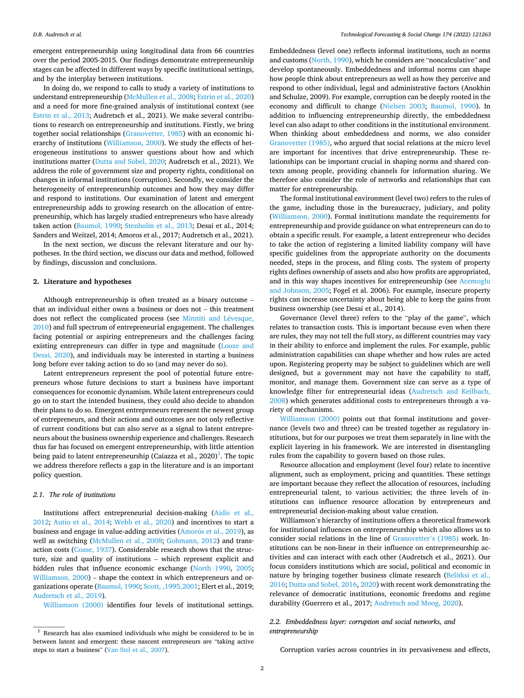emergent entrepreneurship using longitudinal data from 66 countries over the period 2005-2015. Our findings demonstrate entrepreneurship stages can be affected in different ways by specific institutional settings, and by the interplay between institutions.

In doing do, we respond to calls to study a variety of institutions to understand entrepreneurship [\(McMullen et al., 2008](#page-11-0); [Estrin et al., 2020\)](#page-11-0) and a need for more fine-grained analysis of institutional context (see [Estrin et al., 2013;](#page-11-0) Audretsch et al., 2021). We make several contributions to research on entrepreneurship and institutions. Firstly, we bring together social relationships ([Granovetter, 1985\)](#page-11-0) with an economic hierarchy of institutions [\(Williamson, 2000\)](#page-11-0). We study the effects of heterogeneous institutions to answer questions about how and which institutions matter [\(Dutta and Sobel, 2020](#page-11-0); Audretsch et al., 2021). We address the role of government size and property rights, conditional on changes in informal institutions (corruption). Secondly, we consider the heterogeneity of entrepreneurship outcomes and how they may differ and respond to institutions. Our examination of latent and emergent entrepreneurship adds to growing research on the allocation of entrepreneurship, which has largely studied entrepreneurs who have already taken action [\(Baumol, 1990](#page-11-0); [Stenholm et al., 2013;](#page-11-0) Desai et al., 2014; Sanders and Weitzel, 2014; Amoros et al., 2017; Audretsch et al., 2021).

In the next section, we discuss the relevant literature and our hypotheses. In the third section, we discuss our data and method, followed by findings, discussion and conclusions.

## **2. Literature and hypotheses**

Although entrepreneurship is often treated as a binary outcome – that an individual either owns a business or does not – this treatment does not reflect the complicated process (see [Minniti and L](#page-11-0)évesque, [2010\)](#page-11-0) and full spectrum of entrepreneurial engagement. The challenges facing potential or aspiring entrepreneurs and the challenges facing existing entrepreneurs can differ in type and magnitude [\(Looze and](#page-11-0)  [Desai, 2020\)](#page-11-0), and individuals may be interested in starting a business long before ever taking action to do so (and may never do so).

Latent entrepreneurs represent the pool of potential future entrepreneurs whose future decisions to start a business have important consequences for economic dynamism. While latent entrepreneurs could go on to start the intended business, they could also decide to abandon their plans to do so. Emergent entrepreneurs represent the newest group of entrepreneurs, and their actions and outcomes are not only reflective of current conditions but can also serve as a signal to latent entrepreneurs about the business ownership experience and challenges. Research thus far has focused on emergent entrepreneurship, with little attention being paid to latent entrepreneurship (Caiazza et al., 2020) $^1$ . The topic we address therefore reflects a gap in the literature and is an important policy question.

## *2.1. The role of institutions*

Institutions affect entrepreneurial decision-making ([Aidis et al.,](#page-11-0)  [2012;](#page-11-0) [Autio et al., 2014;](#page-11-0) [Webb et al., 2020\)](#page-11-0) and incentives to start a business and engage in value-adding activities (Amorós et al., 2019), as well as switching [\(McMullen et al., 2008](#page-11-0); [Gohmann, 2012\)](#page-11-0) and transaction costs [\(Coase, 1937](#page-11-0)). Considerable research shows that the structure, size and quality of institutions – which represent explicit and hidden rules that influence economic exchange ([North 1990](#page-11-0), [2005](#page-11-0); [Williamson, 2000](#page-11-0)) – shape the context in which entrepreneurs and organizations operate ([Baumol, 1990](#page-11-0); [Scott, ,1995,2001](#page-11-0); Elert et al., 2019; [Audretsch et al., 2019\)](#page-11-0).

[Williamson \(2000\)](#page-11-0) identifies four levels of institutional settings.

Embeddedness (level one) reflects informal institutions, such as norms and customs [\(North, 1990\)](#page-11-0), which he considers are "noncalculative" and develop spontaneously. Embeddedness and informal norms can shape how people think about entrepreneurs as well as how they perceive and respond to other individual, legal and administrative factors (Anokhin and Schulze, 2009). For example, corruption can be deeply rooted in the economy and difficult to change [\(Nielsen 2003](#page-11-0); [Baumol, 1990](#page-11-0)). In addition to influencing entrepreneurship directly, the embeddedness level can also adapt to other conditions in the institutional environment. When thinking about embeddedness and norms, we also consider [Granovetter \(1985\)](#page-11-0), who argued that social relations at the micro level are important for incentives that drive entrepreneurship. These relationships can be important crucial in shaping norms and shared contexts among people, providing channels for information sharing. We therefore also consider the role of networks and relationships that can matter for entrepreneurship.

The formal institutional environment (level two) refers to the rules of the game, including those in the bureaucracy, judiciary, and polity ([Williamson, 2000](#page-11-0)). Formal institutions mandate the requirements for entrepreneurship and provide guidance on what entrepreneurs can do to obtain a specific result. For example, a latent entrepreneur who decides to take the action of registering a limited liability company will have specific guidelines from the appropriate authority on the documents needed, steps in the process, and filing costs. The system of property rights defines ownership of assets and also how profits are appropriated, and in this way shapes incentives for entrepreneurship (see [Acemoglu](#page-11-0)  [and Johnson, 2005](#page-11-0); Fogel et al. 2006). For example, insecure property rights can increase uncertainty about being able to keep the gains from business ownership (see Desai et al., 2014).

Governance (level three) refers to the "play of the game", which relates to transaction costs. This is important because even when there are rules, they may not tell the full story, as different countries may vary in their ability to enforce and implement the rules. For example, public administration capabilities can shape whether and how rules are acted upon. Registering property may be subject to guidelines which are well designed, but a government may not have the capability to staff, monitor, and manage them. Government size can serve as a type of knowledge filter for entrepreneurial ideas [\(Audretsch and Keilbach,](#page-11-0)  [2008\)](#page-11-0) which generates additional costs to entrepreneurs through a variety of mechanisms.

[Williamson \(2000\)](#page-11-0) points out that formal institutions and governance (levels two and three) can be treated together as regulatory institutions, but for our purposes we treat them separately in line with the explicit layering in his framework. We are interested in disentangling rules from the capability to govern based on those rules.

Resource allocation and employment (level four) relate to incentive alignment, such as employment, pricing and quantities. These settings are important because they reflect the allocation of resources, including entrepreneurial talent, to various activities; the three levels of institutions can influence resource allocation by entrepreneurs and entrepreneurial decision-making about value creation.

Williamson's hierarchy of institutions offers a theoretical framework for institutional influences on entrepreneurship which also allows us to consider social relations in the line of [Granovetter](#page-11-0)'s (1985) work. Institutions can be non-linear in their influence on entrepreneurship activities and can interact with each other (Audretsch et al., 2021). Our focus considers institutions which are social, political and economic in nature by bringing together business climate research ([Belitksi et al.,](#page-11-0)  [2016; Dutta and Sobel, 2016, 2020\)](#page-11-0) with recent work demonstrating the relevance of democratic institutions, economic freedoms and regime durability (Guerrero et al., 2017; [Audretsch and Moog, 2020](#page-11-0)).

# *2.2. Embeddedness layer: corruption and social networks, and entrepreneurship*

Corruption varies across countries in its pervasiveness and effects,

 $^{\rm 1}$  Research has also examined individuals who might be considered to be in between latent and emergent: these nascent entrepreneurs are "taking active steps to start a business" ([Van Stel et al., 2007](#page-11-0)).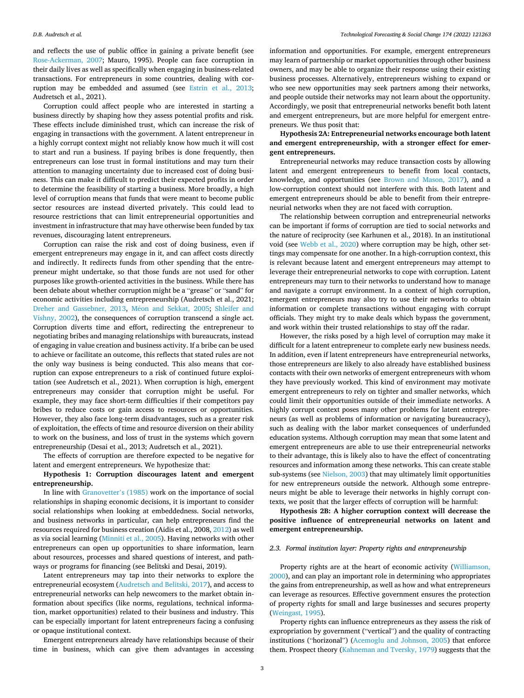and reflects the use of public office in gaining a private benefit (see [Rose-Ackerman, 2007;](#page-11-0) Mauro, 1995). People can face corruption in their daily lives as well as specifically when engaging in business-related transactions. For entrepreneurs in some countries, dealing with corruption may be embedded and assumed (see [Estrin et al., 2013](#page-11-0); Audretsch et al., 2021).

Corruption could affect people who are interested in starting a business directly by shaping how they assess potential profits and risk. These effects include diminished trust, which can increase the risk of engaging in transactions with the government. A latent entrepreneur in a highly corrupt context might not reliably know how much it will cost to start and run a business. If paying bribes is done frequently, then entrepreneurs can lose trust in formal institutions and may turn their attention to managing uncertainty due to increased cost of doing business. This can make it difficult to predict their expected profits in order to determine the feasibility of starting a business. More broadly, a high level of corruption means that funds that were meant to become public sector resources are instead diverted privately. This could lead to resource restrictions that can limit entrepreneurial opportunities and investment in infrastructure that may have otherwise been funded by tax revenues, discouraging latent entrepreneurs.

Corruption can raise the risk and cost of doing business, even if emergent entrepreneurs may engage in it, and can affect costs directly and indirectly. It redirects funds from other spending that the entrepreneur might undertake, so that those funds are not used for other purposes like growth-oriented activities in the business. While there has been debate about whether corruption might be a "grease" or "sand" for economic activities including entrepreneurship (Audretsch et al., 2021; [Dreher and Gassebner, 2013](#page-11-0), Méon and Sekkat, 2005; Shleifer and [Vishny, 2002\)](#page-11-0), the consequences of corruption transcend a single act. Corruption diverts time and effort, redirecting the entrepreneur to negotiating bribes and managing relationships with bureaucrats, instead of engaging in value creation and business activity. If a bribe can be used to achieve or facilitate an outcome, this reflects that stated rules are not the only way business is being conducted. This also means that corruption can expose entrepreneurs to a risk of continued future exploitation (see Audretsch et al., 2021). When corruption is high, emergent entrepreneurs may consider that corruption might be useful. For example, they may face short-term difficulties if their competitors pay bribes to reduce costs or gain access to resources or opportunities. However, they also face long-term disadvantages, such as a greater risk of exploitation, the effects of time and resource diversion on their ability to work on the business, and loss of trust in the systems which govern entrepreneurship (Desai et al., 2013; Audretsch et al., 2021).

The effects of corruption are therefore expected to be negative for latent and emergent entrepreneurs. We hypothesize that:

# **Hypothesis 1: Corruption discourages latent and emergent entrepreneurship.**

In line with [Granovetter](#page-11-0)'s (1985) work on the importance of social relationships in shaping economic decisions, it is important to consider social relationships when looking at embeddedness. Social networks, and business networks in particular, can help entrepreneurs find the resources required for business creation (Aidis et al., 2008, [2012](#page-11-0)) as well as via social learning ([Minniti et al., 2005](#page-11-0)). Having networks with other entrepreneurs can open up opportunities to share information, learn about resources, processes and shared questions of interest, and pathways or programs for financing (see Belitski and Desai, 2019).

Latent entrepreneurs may tap into their networks to explore the entrepreneurial ecosystem ([Audretsch and Belitski, 2017\)](#page-11-0), and access to entrepreneurial networks can help newcomers to the market obtain information about specifics (like norms, regulations, technical information, market opportunities) related to their business and industry. This can be especially important for latent entrepreneurs facing a confusing or opaque institutional context.

Emergent entrepreneurs already have relationships because of their time in business, which can give them advantages in accessing

information and opportunities. For example, emergent entrepreneurs may learn of partnership or market opportunities through other business owners, and may be able to organize their response using their existing business processes. Alternatively, entrepreneurs wishing to expand or who see new opportunities may seek partners among their networks, and people outside their networks may not learn about the opportunity. Accordingly, we posit that entrepreneurial networks benefit both latent and emergent entrepreneurs, but are more helpful for emergent entrepreneurs. We thus posit that:

# **Hypothesis 2A: Entrepreneurial networks encourage both latent and emergent entrepreneurship, with a stronger effect for emergent entrepreneurs.**

Entrepreneurial networks may reduce transaction costs by allowing latent and emergent entrepreneurs to benefit from local contacts, knowledge, and opportunities (see [Brown and Mason, 2017\)](#page-11-0), and a low-corruption context should not interfere with this. Both latent and emergent entrepreneurs should be able to benefit from their entrepreneurial networks when they are not faced with corruption.

The relationship between corruption and entrepreneurial networks can be important if forms of corruption are tied to social networks and the nature of reciprocity (see Karhunen et al., 2018). In an institutional void (see [Webb et al., 2020\)](#page-11-0) where corruption may be high, other settings may compensate for one another. In a high-corruption context, this is relevant because latent and emergent entrepreneurs may attempt to leverage their entrepreneurial networks to cope with corruption. Latent entrepreneurs may turn to their networks to understand how to manage and navigate a corrupt environment. In a context of high corruption, emergent entrepreneurs may also try to use their networks to obtain information or complete transactions without engaging with corrupt officials. They might try to make deals which bypass the government, and work within their trusted relationships to stay off the radar.

However, the risks posed by a high level of corruption may make it difficult for a latent entrepreneur to complete early new business needs. In addition, even if latent entrepreneurs have entrepreneurial networks, those entrepreneurs are likely to also already have established business contacts with their own networks of emergent entrepreneurs with whom they have previously worked. This kind of environment may motivate emergent entrepreneurs to rely on tighter and smaller networks, which could limit their opportunities outside of their immediate networks. A highly corrupt context poses many other problems for latent entrepreneurs (as well as problems of information or navigating bureaucracy), such as dealing with the labor market consequences of underfunded education systems. Although corruption may mean that some latent and emergent entrepreneurs are able to use their entrepreneurial networks to their advantage, this is likely also to have the effect of concentrating resources and information among these networks. This can create stable sub-systems (see [Nielson, 2003](#page-11-0)) that may ultimately limit opportunities for new entrepreneurs outside the network. Although some entrepreneurs might be able to leverage their networks in highly corrupt contexts, we posit that the larger effects of corruption will be harmful:

**Hypothesis 2B: A higher corruption context will decrease the positive influence of entrepreneurial networks on latent and emergent entrepreneurship.** 

## *2.3. Formal institution layer: Property rights and entrepreneurship*

Property rights are at the heart of economic activity ([Williamson,](#page-11-0)  [2000\)](#page-11-0), and can play an important role in determining who appropriates the gains from entrepreneurship, as well as how and what entrepreneurs can leverage as resources. Effective government ensures the protection of property rights for small and large businesses and secures property ([Weingast, 1995\)](#page-11-0).

Property rights can influence entrepreneurs as they assess the risk of expropriation by government ("vertical") and the quality of contracting institutions ("horizonal") ([Acemoglu and Johnson, 2005](#page-11-0)) that enforce them. Prospect theory [\(Kahneman and Tversky, 1979\)](#page-11-0) suggests that the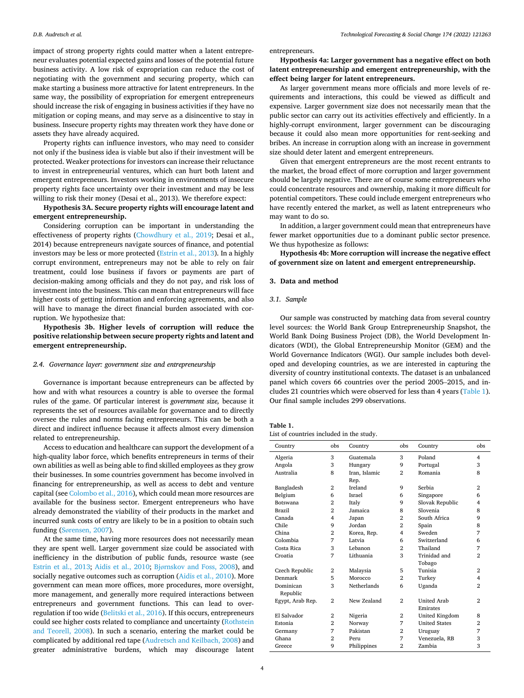impact of strong property rights could matter when a latent entrepreneur evaluates potential expected gains and losses of the potential future business activity. A low risk of expropriation can reduce the cost of negotiating with the government and securing property, which can make starting a business more attractive for latent entrepreneurs. In the same way, the possibility of expropriation for emergent entrepreneurs should increase the risk of engaging in business activities if they have no mitigation or coping means, and may serve as a disincentive to stay in business. Insecure property rights may threaten work they have done or assets they have already acquired.

Property rights can influence investors, who may need to consider not only if the business idea is viable but also if their investment will be protected. Weaker protections for investors can increase their reluctance to invest in entrepreneurial ventures, which can hurt both latent and emergent entrepreneurs. Investors working in environments of insecure property rights face uncertainty over their investment and may be less willing to risk their money (Desai et al., 2013). We therefore expect:

**Hypothesis 3A. Secure property rights will encourage latent and emergent entrepreneurship.** 

Considering corruption can be important in understanding the effectiveness of property rights ([Chowdhury et al., 2019;](#page-11-0) Desai et al., 2014) because entrepreneurs navigate sources of finance, and potential investors may be less or more protected ([Estrin et al., 2013\)](#page-11-0). In a highly corrupt environment, entrepreneurs may not be able to rely on fair treatment, could lose business if favors or payments are part of decision-making among officials and they do not pay, and risk loss of investment into the business. This can mean that entrepreneurs will face higher costs of getting information and enforcing agreements, and also will have to manage the direct financial burden associated with corruption. We hypothesize that:

**Hypothesis 3b. Higher levels of corruption will reduce the positive relationship between secure property rights and latent and emergent entrepreneurship.** 

#### *2.4. Governance layer: government size and entrepreneurship*

Governance is important because entrepreneurs can be affected by how and with what resources a country is able to oversee the formal rules of the game. Of particular interest is *government size,* because it represents the set of resources available for governance and to directly oversee the rules and norms facing entrepreneurs. This can be both a direct and indirect influence because it affects almost every dimension related to entrepreneurship.

Access to education and healthcare can support the development of a high-quality labor force, which benefits entrepreneurs in terms of their own abilities as well as being able to find skilled employees as they grow their businesses. In some countries government has become involved in financing for entrepreneurship, as well as access to debt and venture capital (see [Colombo et al., 2016\)](#page-11-0), which could mean more resources are available for the business sector. Emergent entrepreneurs who have already demonstrated the viability of their products in the market and incurred sunk costs of entry are likely to be in a position to obtain such funding (Sø[rensen, 2007](#page-11-0)).

At the same time, having more resources does not necessarily mean they are spent well. Larger government size could be associated with inefficiency in the distribution of public funds, resource waste (see [Estrin et al., 2013;](#page-11-0) [Aidis et al., 2010](#page-11-0); Bjø[rnskov and Foss, 2008](#page-11-0)), and socially negative outcomes such as corruption ([Aidis et al., 2010](#page-11-0)). More government can mean more offices, more procedures, more oversight, more management, and generally more required interactions between entrepreneurs and government functions. This can lead to overregulation if too wide [\(Belitski et al., 2016](#page-11-0)). If this occurs, entrepreneurs could see higher costs related to compliance and uncertainty [\(Rothstein](#page-11-0)  [and Teorell, 2008](#page-11-0)). In such a scenario, entering the market could be complicated by additional red tape ([Audretsch and Keilbach, 2008\)](#page-11-0) and greater administrative burdens, which may discourage latent entrepreneurs.

**Hypothesis 4a: Larger government has a negative effect on both latent entrepreneurship and emergent entrepreneurship, with the effect being larger for latent entrepreneurs.** 

As larger government means more officials and more levels of requirements and interactions, this could be viewed as difficult and expensive. Larger government size does not necessarily mean that the public sector can carry out its activities effectively and efficiently. In a highly-corrupt environment, larger government can be discouraging because it could also mean more opportunities for rent-seeking and bribes. An increase in corruption along with an increase in government size should deter latent and emergent entrepreneurs.

Given that emergent entrepreneurs are the most recent entrants to the market, the broad effect of more corruption and larger government should be largely negative. There are of course some entrepreneurs who could concentrate resources and ownership, making it more difficult for potential competitors. These could include emergent entrepreneurs who have recently entered the market, as well as latent entrepreneurs who may want to do so.

In addition, a larger government could mean that entrepreneurs have fewer market opportunities due to a dominant public sector presence. We thus hypothesize as follows:

**Hypothesis 4b: More corruption will increase the negative effect of government size on latent and emergent entrepreneurship.** 

## **3. Data and method**

#### *3.1. Sample*

Our sample was constructed by matching data from several country level sources: the World Bank Group Entrepreneurship Snapshot, the World Bank Doing Business Project (DB), the World Development Indicators (WDI), the Global Entrepreneurship Monitor (GEM) and the World Governance Indicators (WGI). Our sample includes both developed and developing countries, as we are interested in capturing the diversity of country institutional contexts. The dataset is an unbalanced panel which covers 66 countries over the period 2005–2015, and includes 21 countries which were observed for less than 4 years (Table 1). Our final sample includes 299 observations.

| Table 1.                                 |  |  |  |
|------------------------------------------|--|--|--|
| List of countries included in the study. |  |  |  |

| Country               | obs            | Country       | obs            | Country                               | obs            |
|-----------------------|----------------|---------------|----------------|---------------------------------------|----------------|
| Algeria               | 3              | Guatemala     | 3              | Poland                                | $\overline{4}$ |
| Angola                | 3              | Hungary       | 9              | Portugal                              | 3              |
| Australia             | 8              | Iran, Islamic | $\overline{2}$ | Romania                               | 8              |
|                       |                | Rep.          |                |                                       |                |
| Bangladesh            | $\mathbf{2}$   | Ireland       | 9              | Serbia                                | $\overline{2}$ |
| Belgium               | 6              | Israel        | 6              | Singapore                             | 6              |
| <b>Botswana</b>       | $\overline{2}$ | Italy         | 9              | Slovak Republic                       | 4              |
| <b>Brazil</b>         | $\overline{2}$ | Jamaica       | 8              | Slovenia                              | 8              |
| Canada                | $\overline{4}$ | Japan         | $\overline{2}$ | South Africa                          | 9              |
| Chile                 | 9              | Jordan        | $\overline{2}$ | Spain                                 | 8              |
| China                 | $\overline{2}$ | Korea, Rep.   | 4              | Sweden                                | 7              |
| Colombia              | 7              | Latvia        | 6              | Switzerland                           | 6              |
| Costa Rica            | 3              | Lebanon       | $\overline{2}$ | Thailand                              | 7              |
| Croatia               | 7              | Lithuania     | 3              | Trinidad and                          | $\overline{2}$ |
|                       |                |               |                | Tobago                                |                |
| Czech Republic        | $\overline{2}$ | Malaysia      | 5              | Tunisia                               | $\overline{2}$ |
| Denmark               | 5              | Morocco       | $\overline{2}$ | Turkey                                | 4              |
| Dominican<br>Republic | 3              | Netherlands   | 6              | Uganda                                | $\overline{2}$ |
| Egypt, Arab Rep.      | $\overline{2}$ | New Zealand   | $\overline{2}$ | <b>United Arab</b><br><b>Fmirates</b> | $\mathfrak{D}$ |
| El Salvador           | 2              | Nigeria       | 2              | United Kingdom                        | 8              |
| Estonia               | $\overline{2}$ | Norway        | 7              | <b>United States</b>                  | $\overline{2}$ |
| Germany               | 7              | Pakistan      | $\overline{2}$ | Uruguay                               | 7              |
| Ghana                 | $\overline{2}$ | Peru          | 7              | Venezuela, RB                         | 3              |
| Greece                | 9              | Philippines   | $\overline{2}$ | Zambia                                | 3              |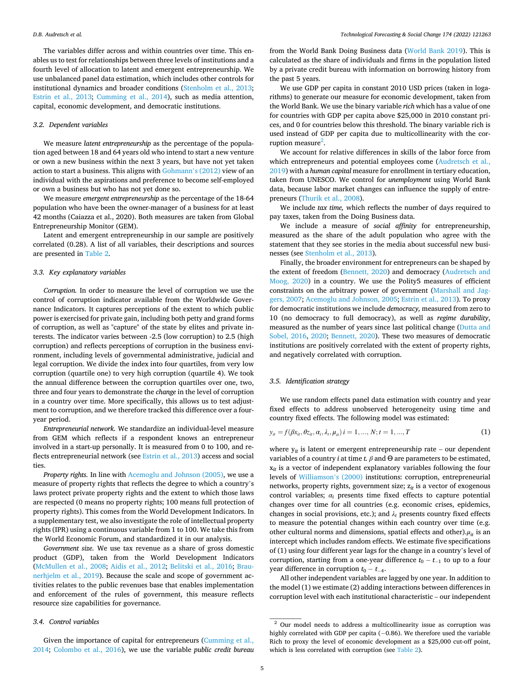The variables differ across and within countries over time. This enables us to test for relationships between three levels of institutions and a fourth level of allocation to latent and emergent entrepreneurship. We use unbalanced panel data estimation, which includes other controls for institutional dynamics and broader conditions ([Stenholm et al., 2013](#page-11-0); [Estrin et al., 2013](#page-11-0); [Cumming et al., 2014](#page-11-0)), such as media attention, capital, economic development, and democratic institutions.

#### *3.2. Dependent variables*

We measure *latent entrepreneurship* as the percentage of the population aged between 18 and 64 years old who intend to start a new venture or own a new business within the next 3 years, but have not yet taken action to start a business. This aligns with [Gohmann](#page-11-0)'s (2012) view of an individual with the aspirations and preference to become self-employed or own a business but who has not yet done so.

We measure *emergent entrepreneurship* as the percentage of the 18-64 population who have been the owner-manager of a business for at least 42 months (Caiazza et al., 2020). Both measures are taken from Global Entrepreneurship Monitor (GEM).

Latent and emergent entrepreneurship in our sample are positively correlated (0.28). A list of all variables, their descriptions and sources are presented in [Table 2](#page-5-0).

## *3.3. Key explanatory variables*

*Corruption.* In order to measure the level of corruption we use the control of corruption indicator available from the Worldwide Governance Indicators. It captures perceptions of the extent to which public power is exercised for private gain, including both petty and grand forms of corruption, as well as "capture" of the state by elites and private interests. The indicator varies between -2.5 (low corruption) to 2.5 (high corruption) and reflects perceptions of corruption in the business environment, including levels of governmental administrative, judicial and legal corruption. We divide the index into four quartiles, from very low corruption (quartile one) to very high corruption (quartile 4). We took the annual difference between the corruption quartiles over one, two, three and four years to demonstrate the *change* in the level of corruption in a country over time. More specifically, this allows us to test adjustment to corruption, and we therefore tracked this difference over a fouryear period.

*Entrepreneurial network.* We standardize an individual-level measure from GEM which reflects if a respondent knows an entrepreneur involved in a start-up personally. It is measured from 0 to 100, and reflects entrepreneurial network (see [Estrin et al., 2013\)](#page-11-0) access and social ties.

*Property rights.* In line with [Acemoglu and Johnson \(2005\),](#page-11-0) we use a measure of property rights that reflects the degree to which a country's laws protect private property rights and the extent to which those laws are respected (0 means no property rights; 100 means full protection of property rights). This comes from the World Development Indicators. In a supplementary test, we also investigate the role of intellectual property rights (IPR) using a continuous variable from 1 to 100. We take this from the World Economic Forum, and standardized it in our analysis.

*Government size.* We use tax revenue as a share of gross domestic product (GDP), taken from the World Development Indicators ([McMullen et al., 2008;](#page-11-0) [Aidis et al., 2012](#page-11-0); [Belitski et al., 2016](#page-11-0); [Brau](#page-11-0)[nerhjelm et al., 2019\)](#page-11-0). Because the scale and scope of government activities relates to the public revenues base that enables implementation and enforcement of the rules of government, this measure reflects resource size capabilities for governance.

#### *3.4. Control variables*

Given the importance of capital for entrepreneurs ([Cumming et al.,](#page-11-0)  [2014;](#page-11-0) [Colombo et al., 2016\)](#page-11-0), we use the variable *public credit bureau*  from the World Bank Doing Business data [\(World Bank 2019](#page-11-0)). This is calculated as the share of individuals and firms in the population listed by a private credit bureau with information on borrowing history from the past 5 years.

We use GDP per capita in constant 2010 USD prices (taken in logarithms) to generate our measure for economic development, taken from the World Bank. We use the binary variable *rich* which has a value of one for countries with GDP per capita above \$25,000 in 2010 constant prices, and 0 for countries below this threshold. The binary variable rich is used instead of GDP per capita due to multicollinearity with the corruption measure<sup>2</sup>.

We account for relative differences in skills of the labor force from which entrepreneurs and potential employees come ([Audretsch et al.,](#page-11-0)  [2019\)](#page-11-0) with a *human capital* measure for enrollment in tertiary education, taken from UNESCO. We control for *unemployment* using World Bank data, because labor market changes can influence the supply of entrepreneurs ([Thurik et al., 2008](#page-11-0)).

We include *tax time,* which reflects the number of days required to pay taxes, taken from the Doing Business data.

We include a measure of *social affinity* for entrepreneurship, measured as the share of the adult population who agree with the statement that they see stories in the media about successful new businesses (see [Stenholm et al., 2013](#page-11-0)).

Finally, the broader environment for entrepreneurs can be shaped by the extent of freedom [\(Bennett, 2020](#page-11-0)) and democracy [\(Audretsch and](#page-11-0)  [Moog, 2020](#page-11-0)) in a country. We use the Polity5 measures of efficient constraints on the arbitrary power of government ([Marshall and Jag](#page-11-0)[gers, 2007](#page-11-0); [Acemoglu and Johnson, 2005; Estrin et al., 2013\)](#page-11-0). To proxy for democratic institutions we include *democracy,* measured from zero to 10 (no democracy to full democracy), as well as *regime durability*, measured as the number of years since last political change ([Dutta and](#page-11-0)  [Sobel, 2016,](#page-11-0) [2020; Bennett, 2020](#page-11-0)). These two measures of democratic institutions are positively correlated with the extent of property rights, and negatively correlated with corruption.

#### *3.5. Identification strategy*

We use random effects panel data estimation with country and year fixed effects to address unobserved heterogeneity using time and country fixed effects. The following model was estimated:

$$
y_{it} = f(\beta x_{it}, \theta z_{it}, \alpha_i, \lambda_t, \mu_{it}) \, i = 1, ..., N; t = 1, ..., T \tag{1}
$$

where  $y_{it}$  is latent or emergent entrepreneurship rate – our dependent variables of a country *i* at time *t*.  $\beta$  and  $\Theta$  are parameters to be estimated, x*it* is a vector of independent explanatory variables following the four levels of [Williamson](#page-11-0)'s (2000) institutions: corruption, entrepreneurial networks, property rights, government size; z*it* is a vector of exogenous control variables;  $\alpha_i$  presents time fixed effects to capture potential changes over time for all countries (e.g. economic crises, epidemics, changes in social provisions, etc.); and  $\lambda_t$  presents country fixed effects to measure the potential changes within each country over time (e.g. other cultural norms and dimensions, spatial effects and other). $\mu_{it}$  is an intercept which includes random effects. We estimate five specifications of (1) using four different year lags for the change in a country's level of corruption, starting from a one-year difference  $t_0 - t_{-1}$  to up to a four year difference in corruption  $t_0 - t_{-4}$ .

All other independent variables are lagged by one year. In addition to the model (1) we estimate (2) adding interactions between differences in corruption level with each institutional characteristic – our independent

 $^{\rm 2}$  Our model needs to address a multicollinearity issue as corruption was highly correlated with GDP per capita (−0.86). We therefore used the variable Rich to proxy the level of economic development as a \$25,000 cut-off point, which is less correlated with corruption (see [Table 2\)](#page-5-0).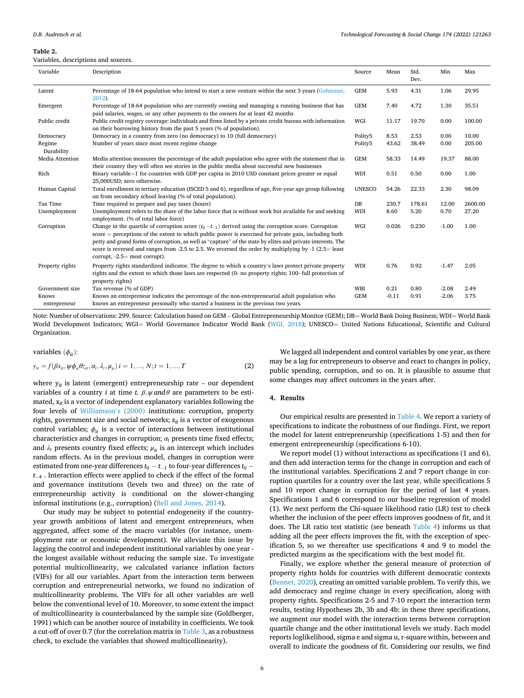## <span id="page-5-0"></span>**Table 2.**

#### *Technological Forecasting & Social Change 174 (2022) 121263*

| Table 2.                             |                                                                                                                                                                                                                                                                                                                                                                                                                                                   |                     |       |              |         |         |
|--------------------------------------|---------------------------------------------------------------------------------------------------------------------------------------------------------------------------------------------------------------------------------------------------------------------------------------------------------------------------------------------------------------------------------------------------------------------------------------------------|---------------------|-------|--------------|---------|---------|
| Variables, descriptions and sources. |                                                                                                                                                                                                                                                                                                                                                                                                                                                   |                     |       |              |         |         |
| Variable                             | Description                                                                                                                                                                                                                                                                                                                                                                                                                                       | Source              | Mean  | Std.<br>Dev. | Min     | Max     |
| Latent                               | Percentage of 18-64 population who intend to start a new venture within the next 3 years (Gohmann,<br>2012).                                                                                                                                                                                                                                                                                                                                      | <b>GEM</b>          | 5.93  | 4.31         | 1.06    | 29.95   |
| Emergent                             | Percentage of 18-64 population who are currently owning and managing a running business that has<br>paid salaries, wages, or any other payments to the owners for at least 42 months                                                                                                                                                                                                                                                              | <b>GEM</b>          | 7.40  | 4.72         | 1.30    | 35.51   |
| Public credit                        | Public credit registry coverage: individuals and firms listed by a private credit bureau with information<br>on their borrowing history from the past 5 years (% of population).                                                                                                                                                                                                                                                                  | WGI                 | 11.17 | 19.70        | 0.00    | 100.00  |
| Democracy                            | Democracy in a country from zero (no democracy) to 10 (full democracy)                                                                                                                                                                                                                                                                                                                                                                            | Polity5             | 8.53  | 2.53         | 0.00    | 10.00   |
| Regime<br>Durability                 | Number of years since most recent regime change                                                                                                                                                                                                                                                                                                                                                                                                   | Polity <sub>5</sub> | 43.62 | 38.49        | 0.00    | 205.00  |
| Media Attention                      | Media attention measures the percentage of the adult population who agree with the statement that in<br>their country they will often see stories in the public media about successful new businesses                                                                                                                                                                                                                                             | <b>GEM</b>          | 58.33 | 14.49        | 19.37   | 88.00   |
| Rich                                 | Binary variable $=$ 1 for countries with GDP per capita in 2010 USD constant prices greater or equal<br>25,000USD; zero otherwise.                                                                                                                                                                                                                                                                                                                | WDI                 | 0.51  | 0.50         | 0.00    | 1.00    |
| Human Capital                        | Total enrollment in tertiary education (ISCED 5 and 6), regardless of age, five-year age group following<br>on from secondary school leaving (% of total population).                                                                                                                                                                                                                                                                             | <b>UNESCO</b>       | 54.26 | 22.33        | 2.30    | 98.09   |
| Tax Time                             | Time required to prepare and pay taxes (hours)                                                                                                                                                                                                                                                                                                                                                                                                    | DB                  | 230.7 | 178.61       | 12.00   | 2600.00 |
| Unemployment                         | Unemployment refers to the share of the labor force that is without work but available for and seeking<br>employment. (% of total labor force)                                                                                                                                                                                                                                                                                                    | WDI                 | 8.60  | 5.20         | 0.70    | 27.20   |
| Corruption                           | Change in the quartile of corruption score $(t_0 - t_{-1})$ derived using the corruption score. Corruption<br>$score = perceptions$ of the extent to which public power is exercised for private gain, including both<br>petty and grand forms of corruption, as well as "capture" of the state by elites and private interests. The<br>corre is reversed and ranges from $2.5$ to $2.5$ . We reversed the order by multiplying by $1.25 =$ least | WGI                 | 0.026 | 0.230        | $-1.00$ | 1.00    |

-2.5 to 2.5. We reversed the order by mul  $corrunt$ ,  $-2.5=$  most corrupt). Property rights Property rights standardized indicator. The degree to which a country's laws protect private property rights and the extent to which those laws are respected (0- no property rights; 100- full protection of property rights) WDI 0.76 0.92 -1.47 2.05 Government size Tax revenue (% of GDP)<br>
Knows Months an entrepreneur indicates the percentage of the non-entrepreneurial adult population who GEM -0.11 0.91 -2.06 3.75 Knows entrepreneur Knows an entrepreneur indicates the percentage of the non-entrepreneurial adult population who knows an entrepreneur personally who started a business in the previous two years. GEM -0.11 0.91 -2.06 3.75

Note: Number of observations: 299. Source: Calculation based on GEM – Global Entrepreneurship Monitor (GEM); DB= World Bank Doing Business; WDI= World Bank World Development Indicators; WGI= World Governance Indicator World Bank ([WGI, 2018](#page-11-0)); UNESCO= United Nations Educational, Scientific and Cultural Organization.

variables  $(\phi_{it})$ :

$$
y_{it} = f(\beta x_{it}, \psi \phi_{it} \theta z_{it}, \alpha_i, \lambda_t, \mu_{it}) i = 1, ..., N; t = 1, ..., T
$$
 (2)

where  $y_{it}$  is latent (emergent) entrepreneurship rate – our dependent variables of a country *i* at time *t*.  $\beta$ *,*  $\psi$  and  $\theta$  are parameters to be estimated, x*it* is a vector of independent explanatory variables following the four levels of [Williamson](#page-11-0)'s (2000) institutions: corruption, property rights, government size and social networks;  $z_{it}$  is a vector of exogenous control variables;  $\phi_{it}$  is a vector of interactions between institutional characteristics and changes in corruption; *αi* presents time fixed effects; and  $\lambda_t$  presents country fixed effects;  $\mu_{it}$  is an intercept which includes random effects. As in the previous model, changes in corruption were estimated from one-year differences  $t_0 - t_{-1}$  to four-year differences  $t_0$  −  $t_{\rm−4}$  . Interaction effects were applied to check if the effect of the formal and governance institutions (levels two and three) on the rate of entrepreneurship activity is conditional on the slower-changing informal institutions (e.g., corruption) [\(Bell and Jones, 2014\)](#page-11-0).

Our study may be subject to potential endogeneity if the countryyear growth ambitions of latent and emergent entrepreneurs, when aggregated, affect some of the macro variables (for instance, unemployment rate or economic development). We alleviate this issue by lagging the control and independent institutional variables by one year the longest available without reducing the sample size. To investigate potential multicollinearity, we calculated variance inflation factors (VIFs) for all our variables. Apart from the interaction term between corruption and entrepreneurial networks, we found no indication of multicollinearity problems. The VIFs for all other variables are well below the conventional level of 10. Moreover, to some extent the impact of multicollinearity is counterbalanced by the sample size (Goldberger, 1991) which can be another source of instability in coefficients. We took a cut-off of over 0.7 (for the correlation matrix in [Table 3](#page-6-0), as a robustness check, to exclude the variables that showed multicollinearity).

We lagged all independent and control variables by one year, as there may be a lag for entrepreneurs to observe and react to changes in policy, public spending, corruption, and so on. It is plausible to assume that some changes may affect outcomes in the years after.

## **4. Results**

Our empirical results are presented in [Table 4.](#page-7-0) We report a variety of specifications to indicate the robustness of our findings. First, we report the model for latent entrepreneurship (specifications 1-5) and then for emergent entrepreneurship (specifications 6-10).

We report model (1) without interactions as specifications (1 and 6), and then add interaction terms for the change in corruption and each of the institutional variables. Specifications 2 and 7 report change in corruption quartiles for a country over the last year, while specifications 5 and 10 report change in corruption for the period of last 4 years. Specifications 1 and 6 correspond to our baseline regression of model (1). We next perform the Chi-square likelihood ratio (LR) test to check whether the inclusion of the peer effects improves goodness of fit, and it does. The LR ratio test statistic (see beneath [Table 4\)](#page-7-0) informs us that adding all the peer effects improves the fit, with the exception of specification 5, so we thereafter use specifications 4 and 9 to model the predicted margins as the specifications with the best model fit.

Finally, we explore whether the general measure of protection of property rights holds for countries with different democratic contexts ([Bennet, 2020](#page-11-0)), creating an omitted variable problem. To verify this, we add democracy and regime change in every specification, along with property rights. Specifications 2-5 and 7-10 report the interaction term results, testing Hypotheses 2b, 3b and 4b: in these three specifications, we augment our model with the interaction terms between corruption quartile change and the other institutional levels we study. Each model reports loglikelihood, sigma e and sigma u, r-square within, between and overall to indicate the goodness of fit. Considering our results, we find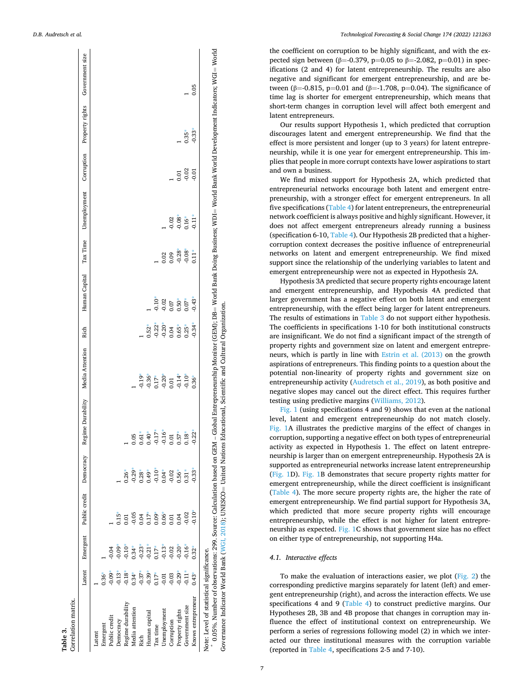<span id="page-6-0"></span>

| Emergent                                            | Public credit                                                                                                                        | Democracy | Regime Durability | Media Attention                                                      | Rich                 | Human Capital | Tax Time | Unemployment | Corruption | Property rights | Government size                                                                                                                  |
|-----------------------------------------------------|--------------------------------------------------------------------------------------------------------------------------------------|-----------|-------------------|----------------------------------------------------------------------|----------------------|---------------|----------|--------------|------------|-----------------|----------------------------------------------------------------------------------------------------------------------------------|
|                                                     |                                                                                                                                      |           |                   |                                                                      |                      |               |          |              |            |                 |                                                                                                                                  |
|                                                     |                                                                                                                                      |           |                   |                                                                      |                      |               |          |              |            |                 |                                                                                                                                  |
| $-0.04$                                             |                                                                                                                                      |           |                   |                                                                      |                      |               |          |              |            |                 |                                                                                                                                  |
| 0.09                                                | $0.15$ <sup>*</sup>                                                                                                                  |           |                   |                                                                      |                      |               |          |              |            |                 |                                                                                                                                  |
| $0.10*$                                             | 0.01                                                                                                                                 | $0.26*$   |                   |                                                                      |                      |               |          |              |            |                 |                                                                                                                                  |
| $0.34*$                                             | $-0.05$                                                                                                                              | $-0.29*$  | 05                |                                                                      |                      |               |          |              |            |                 |                                                                                                                                  |
| $-0.23*$                                            | 0.04                                                                                                                                 | $0.28*$   | $0.61*$           | $-0.19*$                                                             |                      |               |          |              |            |                 |                                                                                                                                  |
| $-0.21*$                                            | $0.17*$                                                                                                                              | $0.49*$   | $0.40*$           | $-0.36*$                                                             | $0.52*$              |               |          |              |            |                 |                                                                                                                                  |
| $0.17*$                                             | $0.09*$                                                                                                                              | $-0.10*$  | $-0.17*$          | $0.17*$                                                              | $-0.22*$             | $-0.10*$      |          |              |            |                 |                                                                                                                                  |
| $-0.13$                                             | $0.06*$                                                                                                                              | $0.04*$   | $-0.16*$          |                                                                      |                      | $-0.02$       | 0.02     |              |            |                 |                                                                                                                                  |
| $-0.02$                                             | 0.01                                                                                                                                 | $-0.02$   | 0.01              | 0.01                                                                 | 0.04                 | 0.07          | 0.09     | $-0.02$      |            |                 |                                                                                                                                  |
| $-0.20*$                                            | 0.04                                                                                                                                 | $0.56*$   | $0.57*$           |                                                                      | $0.65*$              | $0.50*$       | $-0.28*$ | $-0.08*$     | 0.01       |                 |                                                                                                                                  |
| $-0.16*$                                            | $-0.02$                                                                                                                              | $0.31*$   | $0.18*$           | $-0.10*$                                                             | $0.25*$              | $0.07*$       | $-0.08*$ | $0.16*$      | $-0.02$    | $0.35*$         |                                                                                                                                  |
| $0.32*$                                             | $-0.10$                                                                                                                              | $-0.33$   | $-0.22*$          | $0.36*$                                                              | $-0.34*$             | $-0.43$       | $0.11*$  | $-0.11*$     | $-0.01$    | $-0.33*$        | 0.05                                                                                                                             |
|                                                     |                                                                                                                                      |           |                   |                                                                      |                      |               |          |              |            |                 |                                                                                                                                  |
| $-0.29$<br>$0.17*$<br>$0.43*$<br>$-0.03$<br>$-0.11$ | Note: Level of statistical significance.<br>Latent<br>$0.36*$<br>$-0.13*$<br>$-0.18*$<br>$-0.09*$<br>$0.34*$<br>$-0.37*$<br>$-0.39*$ |           |                   | 0.05%. Number of observations: 299. Source: Calculation based on GEM | $-0.20*$<br>$-0.14*$ | $-0.20*$      |          |              |            |                 | - Global Entrepreneurship Monitor (GEM); DB= World Bank Doing Business; WDI= World Bank World Development Indicators; WGI= World |

Governance Indicator World Bank ([WGI, 2018](#page-11-0)); UNESCO= United Nations Educational, Scientific and Cultural Organization. Governance Indicator World Bank (WGI, 2018); UNESCO= United Nations Educational, Scientific and Cultural Organization.

the coefficient on corruption to be highly significant, and with the ex pected sign between (β=-0.379, p=0.05 to β=-2.082, p=0.01) in specifications (2 and 4) for latent entrepreneurship. The results are also negative and significant for emergent entrepreneurship, and are be tween (β=-0.815, p=0.01 and (β=-1.708, p=0.04). The significance of time lag is shorter for emergent entrepreneurship, which means that short-term changes in corruption level will affect both emergent and latent entrepreneurs.

Our results support Hypothesis 1, which predicted that corruption discourages latent and emergent entrepreneurship. We find that the effect is more persistent and longer (up to 3 years) for latent entrepre neurship, while it is one year for emergent entrepreneurship. This implies that people in more corrupt contexts have lower aspirations to start and own a business.

We find mixed support for Hypothesis 2A, which predicted that entrepreneurial networks encourage both latent and emergent entre preneurship, with a stronger effect for emergent entrepreneurs. In all five specifications ([Table 4](#page-7-0)) for latent entrepreneurs, the entrepreneurial network coefficient is always positive and highly significant. However, it does not affect emergent entrepreneurs already running a business (specification 6-10, [Table 4\)](#page-7-0). Our Hypothesis 2B predicted that a highercorruption context decreases the positive influence of entrepreneurial networks on latent and emergent entrepreneurship. We find mixed support since the relationship of the underlying variables to latent and emergent entrepreneurship were not as expected in Hypothesis 2A.

Hypothesis 3A predicted that secure property rights encourage latent and emergent entrepreneurship, and Hypothesis 4A predicted that larger government has a negative effect on both latent and emergent entrepreneurship, with the effect being larger for latent entrepreneurs. The results of estimations in Table 3 do not support either hypothesis. The coefficients in specifications 1-10 for both institutional constructs are insignificant. We do not find a significant impact of the strength of property rights and government size on latent and emergent entrepre neurs, which is partly in line with [Estrin et al. \(2013\)](#page-11-0) on the growth aspirations of entrepreneurs. This finding points to a question about the potential non-linearity of property rights and government size on entrepreneurship activity [\(Audretsch et al., 2019](#page-11-0)), as both positive and negative slopes may cancel out the direct effect. This requires further testing using predictive margins [\(Williams, 2012\)](#page-11-0).

[Fig. 1](#page-8-0) (using specifications 4 and 9) shows that even at the national level, latent and emergent entrepreneurship do not match closely. [Fig. 1A](#page-8-0) illustrates the predictive margins of the effect of changes in corruption, supporting a negative effect on both types of entrepreneurial activity as expected in Hypothesis 1. The effect on latent entrepre neurship is larger than on emergent entrepreneurship. Hypothesis 2A is supported as entrepreneurial networks increase latent entrepreneurship ([Fig. 1](#page-8-0)D). [Fig. 1B](#page-8-0) demonstrates that secure property rights matter for emergent entrepreneurship, while the direct coefficient is insignificant ([Table 4\)](#page-7-0). The more secure property rights are, the higher the rate of emergent entrepreneurship. We find partial support for Hypothesis 3A, which predicted that more secure property rights will encourage entrepreneurship, while the effect is not higher for latent entrepre neurship as expected. [Fig. 1](#page-8-0)C shows that government size has no effect on either type of entrepreneurship, not supporting H4a.

# *4.1. Interactive effects*

To make the evaluation of interactions easier, we plot ([Fig. 2\)](#page-9-0) the corresponding predictive margins separately for latent (left) and emer gent entrepreneurship (right), and across the interaction effects. We use specifications 4 and 9 [\(Table 4\)](#page-7-0) to construct predictive margins. Our Hypotheses 2B, 3B and 4B propose that changes in corruption may in fluence the effect of institutional context on entrepreneurship. We perform a series of regressions following model (2) in which we inter acted our three institutional measures with the corruption variable (reported in [Table 4,](#page-7-0) specifications 2-5 and 7-10).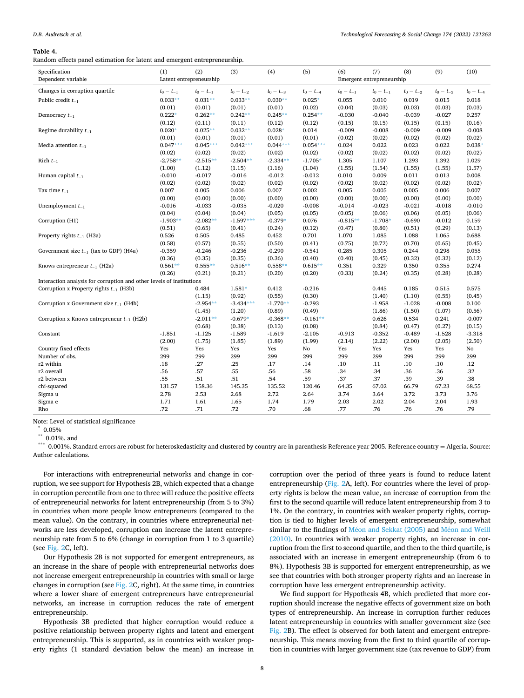<span id="page-7-0"></span>**Table 4.** 

Random effects panel estimation for latent and emergent entrepreneurship.

| Specification<br>Dependent variable                                  | (1)<br>Latent entrepreneurship | (2)            | (3)            | (4)            | (5)            | (6)            | (7)<br>Emergent entrepreneurship | (8)            | (9)            | (10)           |
|----------------------------------------------------------------------|--------------------------------|----------------|----------------|----------------|----------------|----------------|----------------------------------|----------------|----------------|----------------|
| Changes in corruption quartile                                       | $t_0 - t_{-1}$                 | $t_0 - t_{-1}$ | $t_0 - t_{-2}$ | $t_0 - t_{-3}$ | $t_0 - t_{-4}$ | $t_0 - t_{-1}$ | $t_0 - t_{-1}$                   | $t_0 - t_{-2}$ | $t_0 - t_{-3}$ | $t_0 - t_{-4}$ |
| Public credit $t_{-1}$                                               | $0.033**$                      | $0.031**$      | $0.033**$      | $0.030**$      | $0.025*$       | 0.055          | 0.010                            | 0.019          | 0.015          | 0.018          |
|                                                                      | (0.01)                         | (0.01)         | (0.01)         | (0.01)         | (0.02)         | (0.04)         | (0.03)                           | (0.03)         | (0.03)         | (0.03)         |
| Democracy $t_{-1}$                                                   | $0.222*$                       | $0.262**$      | $0.242**$      | $0.245**$      | $0.254**$      | $-0.030$       | $-0.040$                         | $-0.039$       | $-0.027$       | 0.257          |
|                                                                      | (0.12)                         | (0.11)         | (0.11)         | (0.12)         | (0.12)         | (0.15)         | (0.15)                           | (0.15)         | (0.15)         | (0.16)         |
| Regime durability $t_{-1}$                                           | $0.020*$                       | $0.025**$      | $0.032**$      | $0.028*$       | 0.014          | $-0.009$       | $-0.008$                         | $-0.009$       | $-0.009$       | $-0.008$       |
|                                                                      | (0.01)                         | (0.01)         | (0.01)         | (0.01)         | (0.01)         | (0.02)         | (0.02)                           | (0.02)         | (0.02)         | (0.02)         |
| Media attention $t_{-1}$                                             | $0.047***$                     | $0.045***$     | $0.042***$     | $0.044***$     | $0.054***$     | 0.024          | 0.022                            | 0.023          | 0.022          | $0.038*$       |
|                                                                      | (0.02)                         | (0.02)         | (0.02)         | (0.02)         | (0.02)         | (0.02)         | (0.02)                           | (0.02)         | (0.02)         | (0.02)         |
| Rich $t_{-1}$                                                        | $-2.758**$                     | $-2.515**$     | $-2.504**$     | $-2.334**$     | $-1.705*$      | 1.305          | 1.107                            | 1.293          | 1.392          | 1.029          |
|                                                                      | (1.00)                         | (1.12)         | (1.15)         | (1.16)         | (1.04)         | (1.55)         | (1.54)                           | (1.55)         | (1.55)         | (1.57)         |
|                                                                      | $-0.010$                       | $-0.017$       | $-0.016$       | $-0.012$       | $-0.012$       | 0.010          | 0.009                            | 0.011          | 0.013          | 0.008          |
| Human capital $t_{-1}$                                               |                                |                |                |                |                |                |                                  |                |                |                |
|                                                                      | (0.02)                         | (0.02)         | (0.02)         | (0.02)         | (0.02)         | (0.02)         | (0.02)                           | (0.02)         | (0.02)         | (0.02)         |
| Tax time $t_{\rm -1}$                                                | 0.007                          | 0.005          | 0.006          | 0.007          | 0.002          | 0.005          | 0.005                            | 0.005          | 0.006          | 0.007          |
|                                                                      | (0.00)                         | (0.00)         | (0.00)         | (0.00)         | (0.00)         | (0.00)         | (0.00)                           | (0.00)         | (0.00)         | (0.00)         |
| Unemployment $t_{-1}$                                                | $-0.016$                       | $-0.033$       | $-0.035$       | $-0.020$       | $-0.008$       | $-0.014$       | $-0.023$                         | $-0.021$       | $-0.018$       | $-0.010$       |
|                                                                      | (0.04)                         | (0.04)         | (0.04)         | (0.05)         | (0.05)         | (0.05)         | (0.06)                           | (0.06)         | (0.05)         | (0.06)         |
| Corruption (H1)                                                      | $-1.903**$                     | $-2.082**$     | $-1.597***$    | $-0.379*$      | 0.076          | $-0.815**$     | $-1.708*$                        | $-0.690$       | $-0.012$       | 0.159          |
|                                                                      | (0.51)                         | (0.65)         | (0.41)         | (0.24)         | (0.12)         | (0.47)         | (0.80)                           | (0.51)         | (0.29)         | (0.13)         |
| Property rights $t_{-1}$ (H3a)                                       | 0.526                          | 0.505          | 0.485          | 0.452          | 0.701          | 1.070          | 1.085                            | 1.088          | 1.065          | 0.688          |
|                                                                      | (0.58)                         | (0.57)         | (0.55)         | (0.50)         | (0.41)         | (0.75)         | (0.72)                           | (0.70)         | (0.65)         | (0.45)         |
| Government size $t_{-1}$ (tax to GDP) (H4a)                          | $-0.359$                       | $-0.246$       | $-0.236$       | $-0.290$       | $-0.541$       | 0.285          | 0.305                            | 0.244          | 0.298          | 0.055          |
|                                                                      | (0.36)                         | (0.35)         | (0.35)         | (0.36)         | (0.40)         | (0.40)         | (0.45)                           | (0.32)         | (0.32)         | (0.12)         |
| Knows entrepreneur $t_{-1}$ (H2a)                                    | $0.561**$                      | $0.555**$      | $0.516**$      | $0.558**$      | $0.615**$      | 0.351          | 0.329                            | 0.350          | 0.355          | 0.274          |
|                                                                      | (0.26)                         | (0.21)         | (0.21)         | (0.20)         | (0.20)         | (0.33)         | (0.24)                           | (0.35)         | (0.28)         | (0.28)         |
| Interaction analysis for corruption and other levels of institutions |                                |                |                |                |                |                |                                  |                |                |                |
| Corruption x Property rights $t_{-1}$ (H3b)                          |                                | 0.484          | $1.581*$       | 0.412          | $-0.216$       |                | 0.445                            | 0.185          | 0.515          | 0.575          |
|                                                                      |                                | (1.15)         | (0.92)         | (0.55)         | (0.30)         |                | (1.40)                           | (1.10)         | (0.55)         | (0.45)         |
| Corruption x Government size $t_{-1}$ (H4b)                          |                                | $-2.954**$     | $-3.434***$    | $-1.770**$     | $-0.293$       |                | $-1.958$                         | $-1.028$       | $-0.008$       | 0.100          |
|                                                                      |                                | (1.45)         | (1.20)         | (0.89)         | (0.49)         |                | (1.86)                           | (1.50)         | (1.07)         | (0.56)         |
| Corruption x Knows entrepreneur $t_{-1}$ (H2b)                       |                                | $-2.011**$     | $-0.679*$      | $-0.368**$     | $-0.161**$     |                | 0.626                            | 0.534          | 0.241          | $-0.007$       |
|                                                                      |                                | (0.68)         | (0.38)         | (0.13)         | (0.08)         |                | (0.84)                           | (0.47)         | (0.27)         | (0.15)         |
| Constant                                                             | $-1.851$                       | $-1.125$       | $-1.589$       | $-1.619$       | $-2.105$       | $-0.913$       | $-0.352$                         | $-0.489$       | $-1.528$       | $-3.318$       |
|                                                                      | (2.00)                         | (1.75)         | (1.85)         | (1.89)         | (1.99)         | (2.14)         | (2.22)                           | (2.00)         | (2.05)         | (2.50)         |
| Country fixed effects                                                | Yes                            | Yes            | Yes            | Yes            | No             | Yes            | Yes                              | Yes            | Yes            | No             |
| Number of obs.                                                       | 299                            | 299            | 299            | 299            | 299            | 299            | 299                              | 299            | 299            | 299            |
|                                                                      |                                |                |                |                |                |                |                                  |                |                |                |
| r2 within                                                            | .18                            | .27            | .25            | .17            | .14            | .10            | .11                              | .10            | .10            | .12            |
| r <sub>2</sub> overall                                               | .56                            | .57            | .55            | .56            | .58            | .34            | .34                              | .36            | .36            | .32            |
| r2 between                                                           | .55                            | .51            | .51            | .54            | .59            | .37            | .37                              | .39            | .39            | .38            |
| chi-squared                                                          | 131.57                         | 158.36         | 145.35         | 135.52         | 120.46         | 64.35          | 67.02                            | 66.79          | 67.23          | 68.55          |
| Sigma u                                                              | 2.78                           | 2.53           | 2.68           | 2.72           | 2.64           | 3.74           | 3.64                             | 3.72           | 3.73           | 3.76           |
| Sigma e                                                              | 1.71                           | 1.61           | 1.65           | 1.74           | 1.79           | 2.03           | 2.02                             | 2.04           | 2.04           | 1.93           |
| Rho                                                                  | .72                            | .71            | .72            | .70            | .68            | .77            | .76                              | .76            | .76            | .79            |

Note: Level of statistical significance

 $0.05\%$ <br> $*$  0.01%, and

\*\*\* 0.001%. Standard errors are robust for heteroskedasticity and clustered by country are in parenthesis Reference year 2005. Reference country = Algeria. Source: Author calculations.

For interactions with entrepreneurial networks and change in corruption, we see support for Hypothesis 2B, which expected that a change in corruption percentile from one to three will reduce the positive effects of entrepreneurial networks for latent entrepreneurship (from 5 to 3%) in countries when more people know entrepreneurs (compared to the mean value). On the contrary, in countries where entrepreneurial networks are less developed, corruption can increase the latent entrepreneurship rate from 5 to 6% (change in corruption from 1 to 3 quartile) (see [Fig. 2C](#page-9-0), left).

Our Hypothesis 2B is not supported for emergent entrepreneurs, as an increase in the share of people with entrepreneurial networks does not increase emergent entrepreneurship in countries with small or large changes in corruption (see [Fig. 2](#page-9-0)C, right). At the same time, in countries where a lower share of emergent entrepreneurs have entrepreneurial networks, an increase in corruption reduces the rate of emergent entrepreneurship.

Hypothesis 3B predicted that higher corruption would reduce a positive relationship between property rights and latent and emergent entrepreneurship. This is supported, as in countries with weaker property rights (1 standard deviation below the mean) an increase in corruption over the period of three years is found to reduce latent entrepreneurship ([Fig. 2A](#page-9-0), left). For countries where the level of property rights is below the mean value, an increase of corruption from the first to the second quartile will reduce latent entrepreneurship from 3 to 1%. On the contrary, in countries with weaker property rights, corruption is tied to higher levels of emergent entrepreneurship, somewhat similar to the findings of Méon and Sekkat (2005) and Méon and Weill [\(2010\).](#page-11-0) In countries with weaker property rights, an increase in corruption from the first to second quartile, and then to the third quartile, is associated with an increase in emergent entrepreneurship (from 6 to 8%). Hypothesis 3B is supported for emergent entrepreneurship, as we see that countries with both stronger property rights and an increase in corruption have less emergent entrepreneurship activity.

We find support for Hypothesis 4B, which predicted that more corruption should increase the negative effects of government size on both types of entrepreneurship. An increase in corruption further reduces latent entrepreneurship in countries with smaller government size (see [Fig. 2B](#page-9-0)). The effect is observed for both latent and emergent entrepreneurship. This means moving from the first to third quartile of corruption in countries with larger government size (tax revenue to GDP) from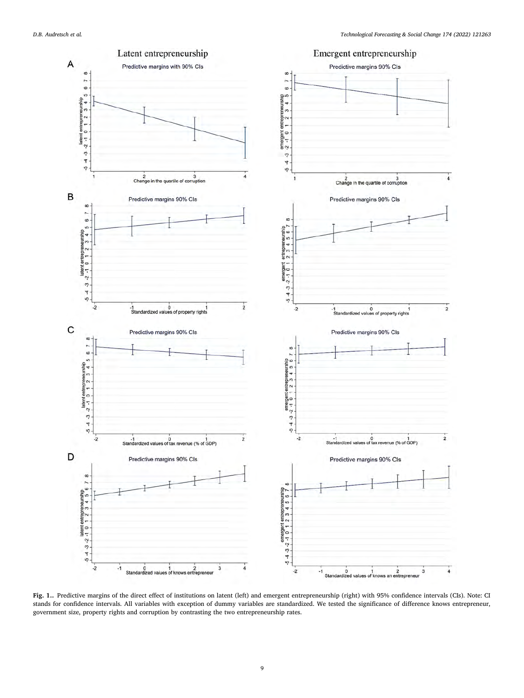<span id="page-8-0"></span>

**Fig. 1..** Predictive margins of the direct effect of institutions on latent (left) and emergent entrepreneurship (right) with 95% confidence intervals (CIs). Note: CI stands for confidence intervals. All variables with exception of dummy variables are standardized. We tested the significance of difference knows entrepreneur, government size, property rights and corruption by contrasting the two entrepreneurship rates.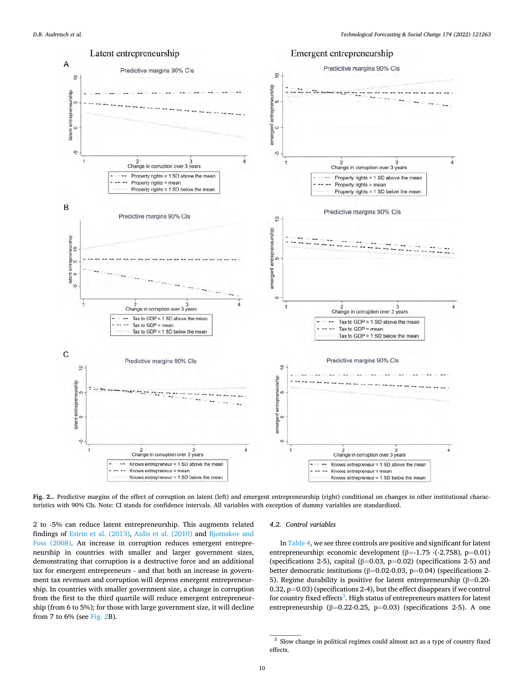<span id="page-9-0"></span>

**Fig. 2..** Predictive margins of the effect of corruption on latent (left) and emergent entrepreneurship (right) conditional on changes in other institutional characteristics with 90% CIs. Note: CI stands for confidence intervals. All variables with exception of dummy variables are standardized.

2 to -5% can reduce latent entrepreneurship. This augments related findings of [Estrin et al. \(2013\),](#page-11-0) [Aidis et al. \(2010\)](#page-11-0) and Bjø[rnskov and](#page-11-0)  [Foss \(2008\).](#page-11-0) An increase in corruption reduces emergent entrepreneurship in countries with smaller and larger government sizes, demonstrating that corruption is a destructive force and an additional tax for emergent entrepreneurs - and that both an increase in government tax revenues and corruption will depress emergent entrepreneurship. In countries with smaller government size, a change in corruption from the first to the third quartile will reduce emergent entrepreneurship (from 6 to 5%); for those with large government size, it will decline from 7 to 6% (see Fig. 2B).

#### *4.2. Control variables*

In [Table 4,](#page-7-0) we see three controls are positive and significant for latent entrepreneurship: economic development (β=-1.75 -(-2.758), p=0.01) (specifications 2-5), capital ( $\beta$ =0.03, p=0.02) (specifications 2-5) and better democratic institutions (β=0.02-0.03, p=0.04) (specifications 2- 5). Regime durability is positive for latent entrepreneurship (β=0.20- 0.32,  $p=0.03$ ) (specifications 2-4), but the effect disappears if we control for country fixed effects<sup>3</sup>. High status of entrepreneurs matters for latent entrepreneurship ( $\beta$ =0.22-0.25, p=0.03) (specifications 2-5). A one

 $^3\,$  Slow change in political regimes could almost act as a type of country fixed effects.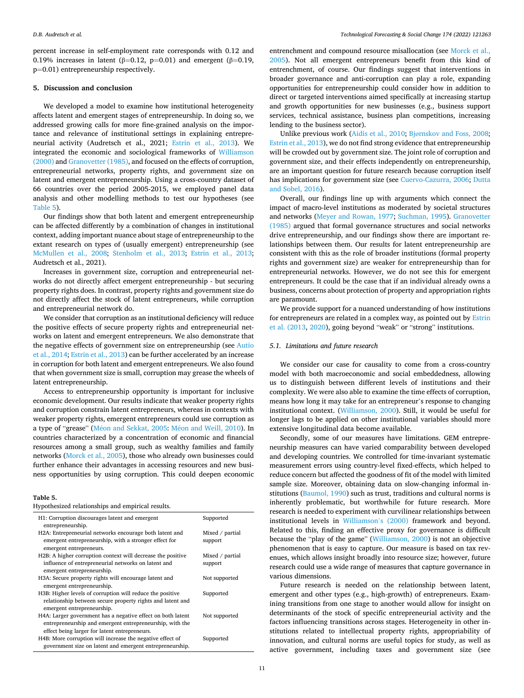percent increase in self-employment rate corresponds with 0.12 and 0.19% increases in latent (β=0.12, p=0.01) and emergent (β=0.19, p=0.01) entrepreneurship respectively.

#### **5. Discussion and conclusion**

We developed a model to examine how institutional heterogeneity affects latent and emergent stages of entrepreneurship. In doing so, we addressed growing calls for more fine-grained analysis on the importance and relevance of institutional settings in explaining entrepreneurial activity (Audretsch et al., 2021; [Estrin et al., 2013](#page-11-0)). We integrated the economic and sociological frameworks of [Williamson](#page-11-0)  [\(2000\)](#page-11-0) and [Granovetter \(1985\),](#page-11-0) and focused on the effects of corruption, entrepreneurial networks, property rights, and government size on latent and emergent entrepreneurship. Using a cross-country dataset of 66 countries over the period 2005-2015, we employed panel data analysis and other modelling methods to test our hypotheses (see Table 5).

Our findings show that both latent and emergent entrepreneurship can be affected differently by a combination of changes in institutional context, adding important nuance about stage of entrepreneurship to the extant research on types of (usually emergent) entrepreneurship (see [McMullen et al., 2008;](#page-11-0) [Stenholm et al., 2013](#page-11-0); [Estrin et al., 2013](#page-11-0); Audretsch et al., 2021).

Increases in government size, corruption and entrepreneurial networks do not directly affect emergent entrepreneurship - but securing property rights does. In contrast, property rights and government size do not directly affect the stock of latent entrepreneurs, while corruption and entrepreneurial network do.

We consider that corruption as an institutional deficiency will reduce the positive effects of secure property rights and entrepreneurial networks on latent and emergent entrepreneurs. We also demonstrate that the negative effects of government size on entrepreneurship (see [Autio](#page-11-0)  [et al., 2014; Estrin et al., 2013](#page-11-0)) can be further accelerated by an increase in corruption for both latent and emergent entrepreneurs. We also found that when government size is small, corruption may grease the wheels of latent entrepreneurship.

Access to entrepreneurship opportunity is important for inclusive economic development. Our results indicate that weaker property rights and corruption constrain latent entrepreneurs, whereas in contexts with weaker property rights, emergent entrepreneurs could use corruption as a type of "grease" (Méon and Sekkat, 2005: Méon and Weill, 2010). In countries characterized by a concentration of economic and financial resources among a small group, such as wealthy families and family networks [\(Morck et al., 2005](#page-11-0)), those who already own businesses could further enhance their advantages in accessing resources and new business opportunities by using corruption. This could deepen economic

#### **Table 5.**

Hypothesized relationships and empirical results.

| , pomestica remnominipo mia empiricar resume                                                                                                                             |                            |
|--------------------------------------------------------------------------------------------------------------------------------------------------------------------------|----------------------------|
| H1: Corruption discourages latent and emergent<br>entrepreneurship.                                                                                                      | Supported                  |
| H2A: Entrepreneurial networks encourage both latent and<br>emergent entrepreneurship, with a stronger effect for<br>emergent entrepreneurs.                              | Mixed / partial<br>support |
| H2B: A higher corruption context will decrease the positive<br>influence of entrepreneurial networks on latent and<br>emergent entrepreneurship.                         | Mixed / partial<br>support |
| H3A: Secure property rights will encourage latent and<br>emergent entrepreneurship.                                                                                      | Not supported              |
| H3B: Higher levels of corruption will reduce the positive<br>relationship between secure property rights and latent and<br>emergent entrepreneurship.                    | Supported                  |
| H4A: Larger government has a negative effect on both latent<br>entrepreneurship and emergent entrepreneurship, with the<br>effect being larger for latent entrepreneurs. | Not supported              |
| H4B: More corruption will increase the negative effect of<br>government size on latent and emergent entrepreneurship.                                                    | Supported                  |

entrenchment and compound resource misallocation (see [Morck et al.,](#page-11-0)  [2005\)](#page-11-0). Not all emergent entrepreneurs benefit from this kind of entrenchment, of course. Our findings suggest that interventions in broader governance and anti-corruption can play a role, expanding opportunities for entrepreneurship could consider how in addition to direct or targeted interventions aimed specifically at increasing startup and growth opportunities for new businesses (e.g., business support services, technical assistance, business plan competitions, increasing lending to the business sector).

Unlike previous work [\(Aidis et al., 2010;](#page-11-0) Bjø[rnskov and Foss, 2008](#page-11-0); [Estrin et al., 2013](#page-11-0)), we do not find strong evidence that entrepreneurship will be crowded out by government size. The joint role of corruption and government size, and their effects independently on entrepreneurship, are an important question for future research because corruption itself has implications for government size (see [Cuervo-Cazurra, 2006](#page-11-0); [Dutta](#page-11-0)  [and Sobel, 2016\)](#page-11-0).

Overall, our findings line up with arguments which connect the impact of macro-level institutions as moderated by societal structures and networks [\(Meyer and Rowan, 1977;](#page-11-0) [Suchman, 1995\)](#page-11-0). [Granovetter](#page-11-0)  [\(1985\)](#page-11-0) argued that formal governance structures and social networks drive entrepreneurship, and our findings show there are important relationships between them. Our results for latent entrepreneurship are consistent with this as the role of broader institutions (formal property rights and government size) are weaker for entrepreneurship than for entrepreneurial networks. However, we do not see this for emergent entrepreneurs. It could be the case that if an individual already owns a business, concerns about protection of property and appropriation rights are paramount.

We provide support for a nuanced understanding of how institutions for entrepreneurs are related in a complex way, as pointed out by [Estrin](#page-11-0)  [et al. \(2013, 2020](#page-11-0)), going beyond "weak" or "strong" institutions.

## *5.1. Limitations and future research*

We consider our case for causality to come from a cross-country model with both macroeconomic and social embeddedness, allowing us to distinguish between different levels of institutions and their complexity. We were also able to examine the time effects of corruption, means how long it may take for an entrepreneur's response to changing institutional context. [\(Williamson, 2000](#page-11-0)). Still, it would be useful for longer lags to be applied on other institutional variables should more extensive longitudinal data become available.

Secondly, some of our measures have limitations. GEM entrepreneurship measures can have varied comparability between developed and developing countries. We controlled for time-invariant systematic measurement errors using country-level fixed-effects, which helped to reduce concern but affected the goodness of fit of the model with limited sample size. Moreover, obtaining data on slow-changing informal institutions [\(Baumol, 1990\)](#page-11-0) such as trust, traditions and cultural norms is inherently problematic, but worthwhile for future research. More research is needed to experiment with curvilinear relationships between institutional levels in [Williamson](#page-11-0)'s (2000) framework and beyond. Related to this, finding an effective proxy for governance is difficult because the "play of the game" ([Williamson, 2000](#page-11-0)) is not an objective phenomenon that is easy to capture. Our measure is based on tax revenues, which allows insight broadly into resource size; however, future research could use a wide range of measures that capture governance in various dimensions.

Future research is needed on the relationship between latent, emergent and other types (e.g., high-growth) of entrepreneurs. Examining transitions from one stage to another would allow for insight on determinants of the stock of specific entrepreneurial activity and the factors influencing transitions across stages. Heterogeneity in other institutions related to intellectual property rights, appropriability of innovation, and cultural norms are useful topics for study, as well as active government, including taxes and government size (see